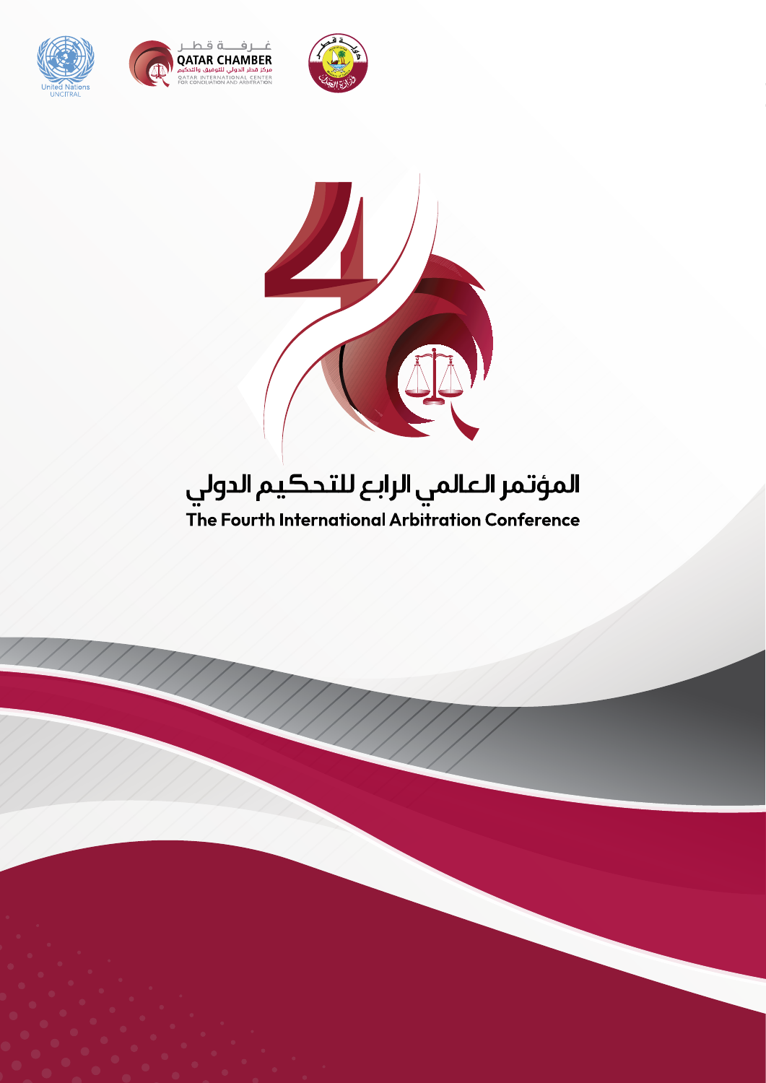





#### المؤتمر العالمي الرابع للتحكيم الدولي ..<br>The Fourth International Arbitration Conference

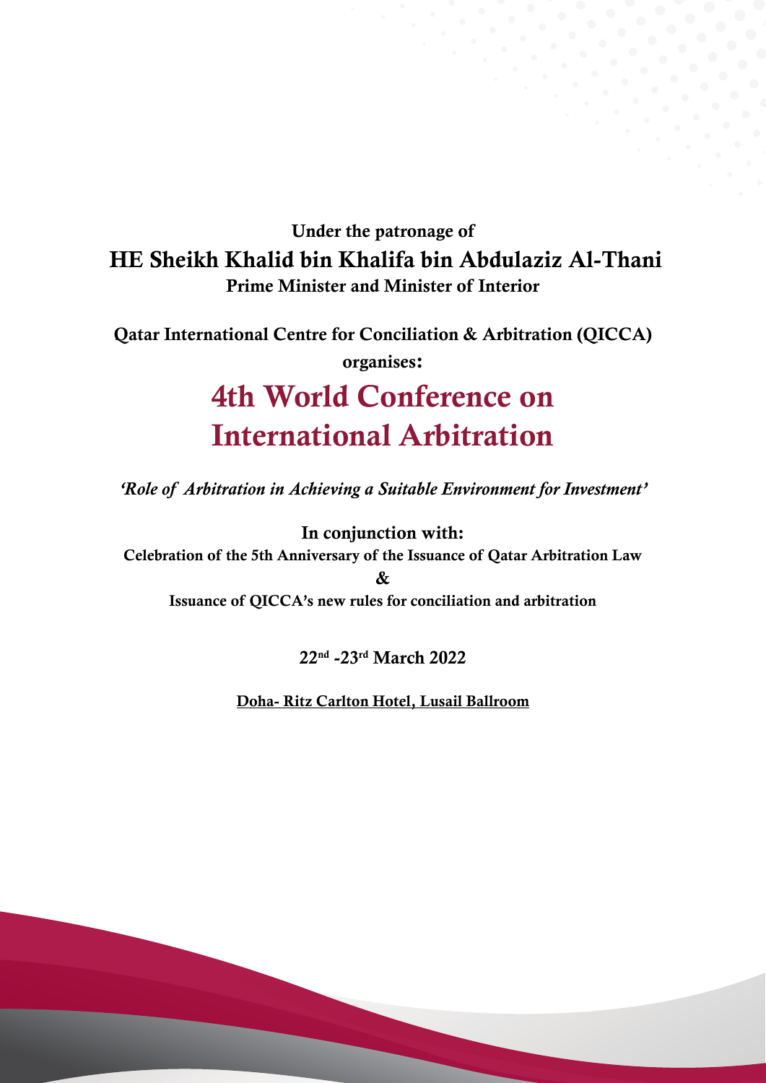#### Under the patronage of HE Sheikh Khalid bin Khalifa bin Abdulaziz Al-Thani Prime Minister and Minister of Interior

Qatar International Centre for Conciliation & Arbitration (QICCA) organises:

## 4th World Conference on International Arbitration

*'Role of Arbitration in Achieving a Suitable Environment for Investment'*

In conjunction with: Celebration of the 5th Anniversary of the Issuance of Qatar Arbitration Law &

Issuance of QICCA's new rules for conciliation and arbitration

22nd -23rd March 2022

Doha- Ritz Carlton Hotel, Lusail Ballroom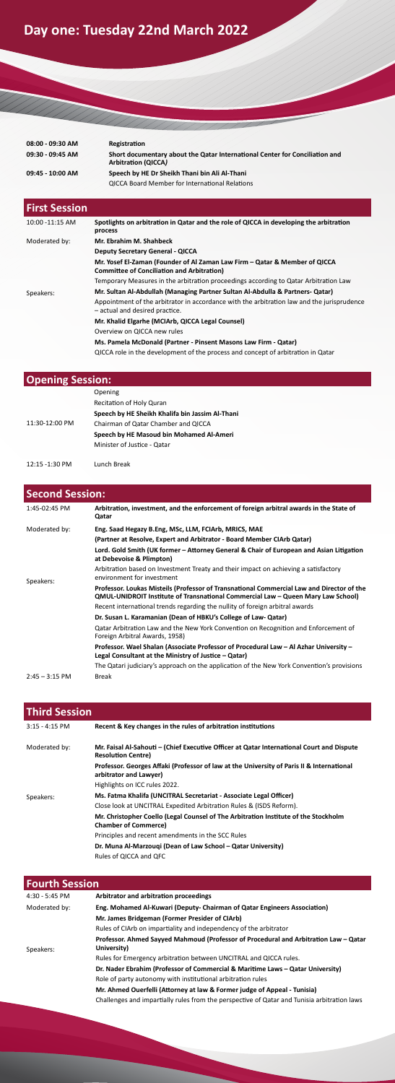# **Day one: Tuesday 22nd March 2022**

WWW.

| 08:00 - 09:30 AM | Registration                                                                                              |
|------------------|-----------------------------------------------------------------------------------------------------------|
| 09:30 - 09:45 AM | Short documentary about the Qatar International Center for Conciliation and<br><b>Arbitration (QICCA)</b> |
| 09:45 - 10:00 AM | Speech by HE Dr Sheikh Thani bin Ali Al-Thani                                                             |
|                  | <b>QICCA Board Member for International Relations</b>                                                     |

| <b>First Session</b> |                                                                                                                                 |
|----------------------|---------------------------------------------------------------------------------------------------------------------------------|
| 10:00 -11:15 AM      | Spotlights on arbitration in Qatar and the role of QICCA in developing the arbitration<br>process                               |
| Moderated by:        | Mr. Ebrahim M. Shahbeck                                                                                                         |
|                      | <b>Deputy Secretary General - QICCA</b>                                                                                         |
|                      | Mr. Yosef El-Zaman (Founder of Al Zaman Law Firm – Qatar & Member of QICCA<br><b>Committee of Conciliation and Arbitration)</b> |
|                      | Temporary Measures in the arbitration proceedings according to Qatar Arbitration Law                                            |
| Speakers:            | Mr. Sultan Al-Abdullah (Managing Partner Sultan Al-Abdulla & Partners- Qatar)                                                   |
|                      | Appointment of the arbitrator in accordance with the arbitration law and the jurisprudence<br>- actual and desired practice.    |
|                      | Mr. Khalid Elgarhe (MCIArb, QICCA Legal Counsel)                                                                                |
|                      | Overview on QICCA new rules                                                                                                     |
|                      | Ms. Pamela McDonald (Partner - Pinsent Masons Law Firm - Qatar)                                                                 |
|                      | QICCA role in the development of the process and concept of arbitration in Qatar                                                |

| <b>Opening Session:</b> |                                                 |
|-------------------------|-------------------------------------------------|
|                         | Opening                                         |
|                         | Recitation of Holy Quran                        |
|                         | Speech by HE Sheikh Khalifa bin Jassim Al-Thani |
| 11:30-12:00 PM          | Chairman of Qatar Chamber and QICCA             |
|                         | Speech by HE Masoud bin Mohamed Al-Ameri        |
|                         | Minister of Justice - Qatar                     |
|                         |                                                 |
| 12:15 -1:30 PM          | Lunch Break                                     |

| <b>Second Session:</b> |                                                                                                                                                                               |  |
|------------------------|-------------------------------------------------------------------------------------------------------------------------------------------------------------------------------|--|
| $1:45-02:45$ PM        | Arbitration, investment, and the enforcement of foreign arbitral awards in the State of<br>Qatar                                                                              |  |
| Moderated by:          | Eng. Saad Hegazy B.Eng, MSc, LLM, FCIArb, MRICS, MAE                                                                                                                          |  |
|                        | (Partner at Resolve, Expert and Arbitrator - Board Member CIArb Qatar)                                                                                                        |  |
|                        | Lord. Gold Smith (UK former – Attorney General & Chair of European and Asian Litigation<br>at Debevoise & Plimpton)                                                           |  |
| Speakers:              | Arbitration based on Investment Treaty and their impact on achieving a satisfactory<br>environment for investment                                                             |  |
|                        | Professor. Loukas Misteils (Professor of Transnational Commercial Law and Director of the<br>QMUL-UNIDROIT Institute of Transnational Commercial Law - Queen Mary Law School) |  |
|                        | Recent international trends regarding the nullity of foreign arbitral awards                                                                                                  |  |
|                        | Dr. Susan L. Karamanian (Dean of HBKU's College of Law- Qatar)                                                                                                                |  |
|                        | Qatar Arbitration Law and the New York Convention on Recognition and Enforcement of<br>Foreign Arbitral Awards, 1958)                                                         |  |
|                        | Professor. Wael Shalan (Associate Professor of Procedural Law - Al Azhar University -<br>Legal Consultant at the Ministry of Justice $-Qatar$ )                               |  |
|                        | The Qatari judiciary's approach on the application of the New York Convention's provisions                                                                                    |  |
| $2:45 - 3:15$ PM       | <b>Break</b>                                                                                                                                                                  |  |

| <b>Third Session</b> |                                                                                                                        |
|----------------------|------------------------------------------------------------------------------------------------------------------------|
| $3:15 - 4:15$ PM     | Recent & Key changes in the rules of arbitration institutions                                                          |
| Moderated by:        | Mr. Faisal Al-Sahouti – (Chief Executive Officer at Qatar International Court and Dispute<br><b>Resolution Centre)</b> |
|                      | Professor. Georges Affaki (Professor of law at the University of Paris II & International<br>arbitrator and Lawyer)    |
|                      | Highlights on ICC rules 2022.                                                                                          |
| Speakers:            | Ms. Fatma Khalifa (UNCITRAL Secretariat - Associate Legal Officer)                                                     |
|                      | Close look at UNCITRAL Expedited Arbitration Rules & (ISDS Reform).                                                    |
|                      | Mr. Christopher Coello (Legal Counsel of The Arbitration Institute of the Stockholm<br><b>Chamber of Commerce)</b>     |
|                      | Principles and recent amendments in the SCC Rules                                                                      |
|                      | Dr. Muna Al-Marzouqi (Dean of Law School - Qatar University)                                                           |
|                      | Rules of QICCA and QFC                                                                                                 |

| <b>Fourth Session</b> |                                                                                                     |
|-----------------------|-----------------------------------------------------------------------------------------------------|
| 4:30 - 5:45 PM        | Arbitrator and arbitration proceedings                                                              |
| Moderated by:         | Eng. Mohamed Al-Kuwari (Deputy- Chairman of Qatar Engineers Association)                            |
|                       | Mr. James Bridgeman (Former Presider of CIArb)                                                      |
|                       | Rules of CIArb on impartiality and independency of the arbitrator                                   |
| Speakers:             | Professor. Ahmed Sayyed Mahmoud (Professor of Procedural and Arbitration Law - Qatar<br>University) |
|                       | Rules for Emergency arbitration between UNCITRAL and QICCA rules.                                   |
|                       | Dr. Nader Ebrahim (Professor of Commercial & Maritime Laws - Qatar University)                      |
|                       | Role of party autonomy with institutional arbitration rules                                         |
|                       | Mr. Ahmed Ouerfelli (Attorney at law & Former judge of Appeal - Tunisia)                            |
|                       | Challenges and impartially rules from the perspective of Qatar and Tunisia arbitration laws         |